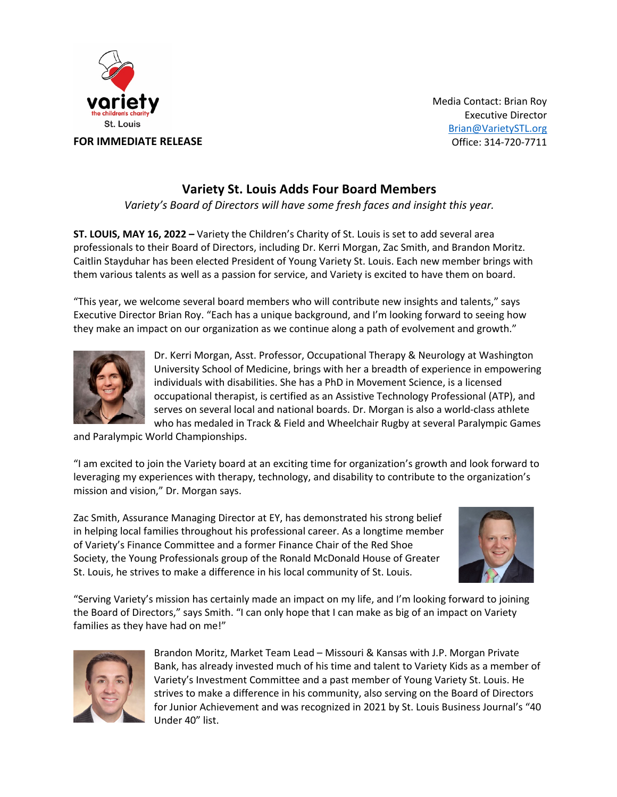

Media Contact: Brian Roy Executive Director Brian@VarietySTL.org Office: 314-720-7711

## **Variety St. Louis Adds Four Board Members**

*Variety's Board of Directors will have some fresh faces and insight this year.* 

**ST. LOUIS, MAY 16, 2022 –** Variety the Children's Charity of St. Louis is set to add several area professionals to their Board of Directors, including Dr. Kerri Morgan, Zac Smith, and Brandon Moritz. Caitlin Stayduhar has been elected President of Young Variety St. Louis. Each new member brings with them various talents as well as a passion for service, and Variety is excited to have them on board.

"This year, we welcome several board members who will contribute new insights and talents," says Executive Director Brian Roy. "Each has a unique background, and I'm looking forward to seeing how they make an impact on our organization as we continue along a path of evolvement and growth."



Dr. Kerri Morgan, Asst. Professor, Occupational Therapy & Neurology at Washington University School of Medicine, brings with her a breadth of experience in empowering individuals with disabilities. She has a PhD in Movement Science, is a licensed occupational therapist, is certified as an Assistive Technology Professional (ATP), and serves on several local and national boards. Dr. Morgan is also a world-class athlete who has medaled in Track & Field and Wheelchair Rugby at several Paralympic Games

and Paralympic World Championships.

"I am excited to join the Variety board at an exciting time for organization's growth and look forward to leveraging my experiences with therapy, technology, and disability to contribute to the organization's mission and vision," Dr. Morgan says.

Zac Smith, Assurance Managing Director at EY, has demonstrated his strong belief in helping local families throughout his professional career. As a longtime member of Variety's Finance Committee and a former Finance Chair of the Red Shoe Society, the Young Professionals group of the Ronald McDonald House of Greater St. Louis, he strives to make a difference in his local community of St. Louis.



"Serving Variety's mission has certainly made an impact on my life, and I'm looking forward to joining the Board of Directors," says Smith. "I can only hope that I can make as big of an impact on Variety families as they have had on me!"



Brandon Moritz, Market Team Lead – Missouri & Kansas with J.P. Morgan Private Bank, has already invested much of his time and talent to Variety Kids as a member of Variety's Investment Committee and a past member of Young Variety St. Louis. He strives to make a difference in his community, also serving on the Board of Directors for Junior Achievement and was recognized in 2021 by St. Louis Business Journal's "40 Under 40" list.